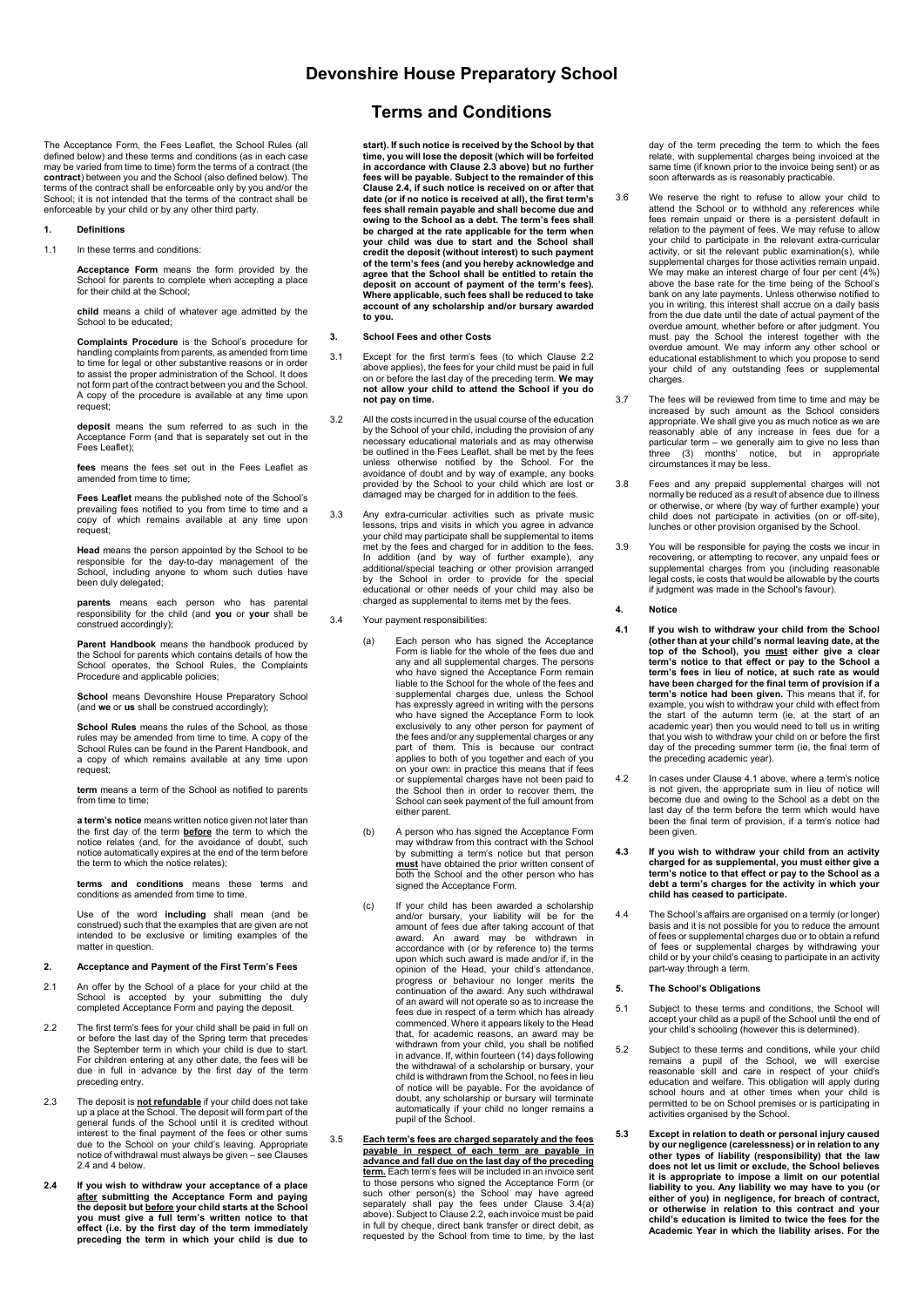## **Devonshire House Preparatory School**

The Acceptance Form, the Fees Leaflet, the School Rules (all defined below) and these terms and conditions (as in each case may be varied from time to time) form the terms of a contract (the **contract**) between you and the School (also defined below). The terms of the contract shall be enforceable only by you and/or the School; it is not intended that the terms of the contract shall be enforceable by your child or by any other third party.

#### **1. Definitions**

1.1 In these terms and conditions:

**Acceptance Form** means the form provided by the School for parents to complete when accepting a place for their child at the School;

**child** means a child of whatever age admitted by the School to be educated;

**Complaints Procedure** is the School's procedure for handling complaints from parents, as amended from time to time for legal or other substantive reasons or in order to assist the proper administration of the School. It does not form part of the contract between you and the School. A copy of the procedure is available at any time upon request;

**deposit** means the sum referred to as such in the Acceptance Form (and that is separately set out in the Fees Leaflet);

**fees** means the fees set out in the Fees Leaflet as amended from time to time;

**Fees Leaflet** means the published note of the School's prevailing fees notified to you from time to time and a copy of which remains available at any time upon request;

**Head** means the person appointed by the School to be responsible for the day-to-day management of the School, including anyone to whom such duties have been duly delegated;

**parents** means each person who has parental responsibility for the child (and **you** or **your** shall be construed accordingly);

**Parent Handbook** means the handbook produced by the School for parents which contains details of how the School operates, the School Rules, the Complaints Procedure and applicable policies;

**School** means Devonshire House Preparatory School (and **we** or **us** shall be construed accordingly);

**School Rules** means the rules of the School, as those rules may be amended from time to time. A copy of the School Rules can be found in the Parent Handbook, and a copy of which remains available at any time upon request;

**term** means a term of the School as notified to parents from time to time;

**a term's notice** means written notice given not later than<br>the first day of the term <mark>before</mark> the term to which the<br>notice relates (and, for the avoidance of doubt, such notice automatically expires at the end of the term before the term to which the notice relates);

**terms and conditions** means these terms and conditions as amended from time to time.

Use of the word **including** shall mean (and be construed) such that the examples that are given are not intended to be exclusive or limiting examples of the matter in question.

## **2. Acceptance and Payment of the First Term's Fees**

- 2.1 An offer by the School of a place for your child at the School is accepted by your submitting the duly completed Acceptance Form and paying the deposit.
- 2.2 The first term's fees for your child shall be paid in full on<br>or before the last day of the Spring term that precedes<br>the September term in which your child is due to start.<br>For children entering at any other date, the preceding entry.
- 2.3 The deposit is **not refundable** if your child does not take<br>up a place at the School. The deposit will form part of the<br>general funds of the School until it is credited without<br>interest to the final payment of the fees due to the School on your child's leaving. Appropriate notice of withdrawal must always be given – see Clauses 2.4 and 4 below.
- **2.4 If you wish to withdraw your acceptance of a place**  <u>after</u> submitting the Acceptance Form and paying<br>the deposit but <u>before</u> your child starts at the School<br>you must give a full term's written notice to that<br>effect (i.e. by the first day of the term immediately<br>preceding

# **Terms and Conditions**

**start). If such notice is received by the School by that time, you will lose the deposit (which will be forfeited in accordance with Clause 2.3 above) but no further fees will be payable. Subject to the remainder of this Clause 2.4, if such notice is received on or after that date (or if no notice is received at all), the first term's fees shall remain payable and shall become due and owing to the School as a debt. The term's fees shall be charged at the rate applicable for the term when your child was due to start and the School shall credit the deposit (without interest) to such payment of the term's fees (and you hereby acknowledge and agree that the School shall be entitled to retain the deposit on account of payment of the term's fees). Where applicable, such fees shall be reduced to take account of any scholarship and/or bursary awarded to you.** 

#### **3. School Fees and other Costs**

- 3.1 Except for the first term's fees (to which Clause 2.2 above applies), the fees for your child must be paid in full on or before the last day of the preceding term. **We may not allow your child to attend the School if you do not pay on time.**
- 3.2 All the costs incurred in the usual course of the education by the School of your child, including the provision of any necessary educational materials and as may otherwise be outlined in the Fees Leaflet, shall be met by the fees unless otherwise notified by the School. For the avoidance of doubt and by way of example, any books provided by the School to your child which are lost or damaged may be charged for in addition to the fees.
- 3.3 Any extra-curricular activities such as private music lessons, trips and visits in which you agree in advance your child may participate shall be supplemental to items met by the fees and charged for in addition to the fees.<br>In addition (and by way of further example), any<br>additional/special teaching or other provision arranged<br>by the School in order to provide for the special<br>educationa
- 3.4 Your payment responsibilities:
	- (a) Each person who has signed the Acceptance Form is liable for the whole of the fees due and any and all supplemental charges. The persons who have signed the Acceptance Form remain liable to the School for the whole of the fees and supplemental charges due, unless the School has expressly agreed in writing with the persons who have signed the Acceptance Form to look exclusively to any other person for payment of the fees and/or any supplemental charges or any part of them. This is because our contract applies to both of you together and each of you on your own: in practice this means that if fees or supplemental charges have not been paid to the School then in order to recover them, the School can seek payment of the full amount from either parent.
	- (b) A person who has signed the Acceptance Form may withdraw from this contract with the School by submitting a term's notice but that person **must** have obtained the prior written consent of both the School and the other person who has signed the Acceptance Form.
	- (c) If your child has been awarded a scholarship and/or bursary, your liability will be for the<br>amount of fees due after taking account of that<br>award. An award may be withdrawn in<br>accordance with (or by reference to) the terms<br>upon which such award is made and/or if, in opinion of the Head, your child's attendance, progress or behaviour no longer merits the continuation of the award. Any such withdrawal of an award will not operate so as to increase the fees due in respect of a term which has already commenced. Where it appears likely to the Head that, for academic reasons, an award may be withdrawn from your child, you shall be notified in advance. If, within fourteen (14) days following the withdrawal of a scholarship or bursary, your child is withdrawn from the School, no fees in lieu of notice will be payable. For the avoidance of doubt, any scholarship or bursary will terminate automatically if your child no longer remains a pupil of the School.
- 3.5 **Each term's fees are charged separately and the fees payable in respect of each term are payable in advance and fall due on the last day of the preceding term.** Each term's fees will be included in an invoice sent to those persons who signed the Acceptance Form (or such other person(s) the School may have agreed separately shall pay the fees under Clause 3.4(a) above). Subject to Clause 2.2, each invoice must be paid in full by cheque, direct bank transfer or direct debit, as requested by the School from time to time, by the last

day of the term preceding the term to which the fees relate, with supplemental charges being invoiced at the same time (if known prior to the invoice being sent) or as soon afterwards as is reasonably practicable.

- 3.6 We reserve the right to refuse to allow your child to attend the School or to withhold any references while fees remain unpaid or there is a persistent default in relation to the payment of fees. We may refuse to allow your child to participate in the relevant extra-curricular activity, or sit the relevant public examination(s), while supplemental charges for those activities remain unpaid. We may make an interest charge of four per cent (4%) above the base rate for the time being of the School's bank on any late payments. Unless otherwise notified to you in writing, this interest shall accrue on a daily basis from the due date until the date of actual payment of the overdue amount, whether before or after judgment. You must pay the School the interest together with the overdue amount. We may inform any other school or educational establishment to which you propose to send your child of any outstanding fees or supplemental charges.
- 3.7 The fees will be reviewed from time to time and may be increased by such amount as the School considers appropriate. We shall give you as much notice as we are reasonably able of any increase in fees due for a particular term – we generally aim to give no less than three (3) months' notice, but in appropriate circumstances it may be less.
- 3.8 Fees and any prepaid supplemental charges will not normally be reduced as a result of absence due to illness or otherwise, or where (by way of further example) your child does not participate in activities (on or off-site), lunches or other provision organised by the School.
- 3.9 You will be responsible for paying the costs we incur in recovering, or attempting to recover, any unpaid fees or supplemental charges from you (including reasonable legal costs, ie costs that would be allowable by the if judgment was made in the School's favour).

#### **4. Notice**

- 4.1 If you wish to withdraw your child from the School (other than at your child's normal leaving date, at the top of the School), you <u>must</u> either give a clear term's notice to that effect or pay to the School a term's example, you wish to withdraw your child with effect from the start of the autumn term (ie, at the start of an academic year) then you would need to tell us in writing that you wish to withdraw your child on or before the first day of the preceding summer term (ie, the final term of the preceding academic year).
- 4.2 In cases under Clause 4.1 above, where a term's notice is not given, the appropriate sum in lieu of notice will become due and owing to the School as a debt on the last day of the term before the term which would have been the final term of provision, if a term's notice had been given.
- 4.3 If you wish to withdraw your child from an activity<br>charged for as supplemental, you must either give a<br>term's notice to that effect or pay to the School as a<br>debt a term's charges for the activity in which your **child has ceased to participate.**
- 4.4 The School's affairs are organised on a termly (or longer) basis and it is not possible for you to reduce the amount of fees or supplemental charges due or to obtain a refund of fees or supplemental charges by withdrawing your child or by your child's ceasing to participate in an activity part-way through a term.

### **5. The School's Obligations**

- 5.1 Subject to these terms and conditions, the School will accept your child as a pupil of the School until the end of your child's schooling (however this is determined).
- 5.2 Subject to these terms and conditions, while your child remains a pupil of the School, we will exercise<br>reasonable skill and care in respect of your child's<br>education and welfare. This obligation will apply during<br>school hours and at other times when your child is<br>permitted to
- **5.3 Except in relation to death or personal injury caused**  by our negligence (carelessness) or in relation to any<br>other types of liability (responsibility) that the law<br>does not let us limit or exclude, the School believes<br>it is appropriate to impose a limit on our potential **liability to you. Any liability we may have to you (or either of you) in negligence, for breach of contract, or otherwise in relation to this contract and your child's education is limited to twice the fees for the Academic Year in which the liability arises. For the**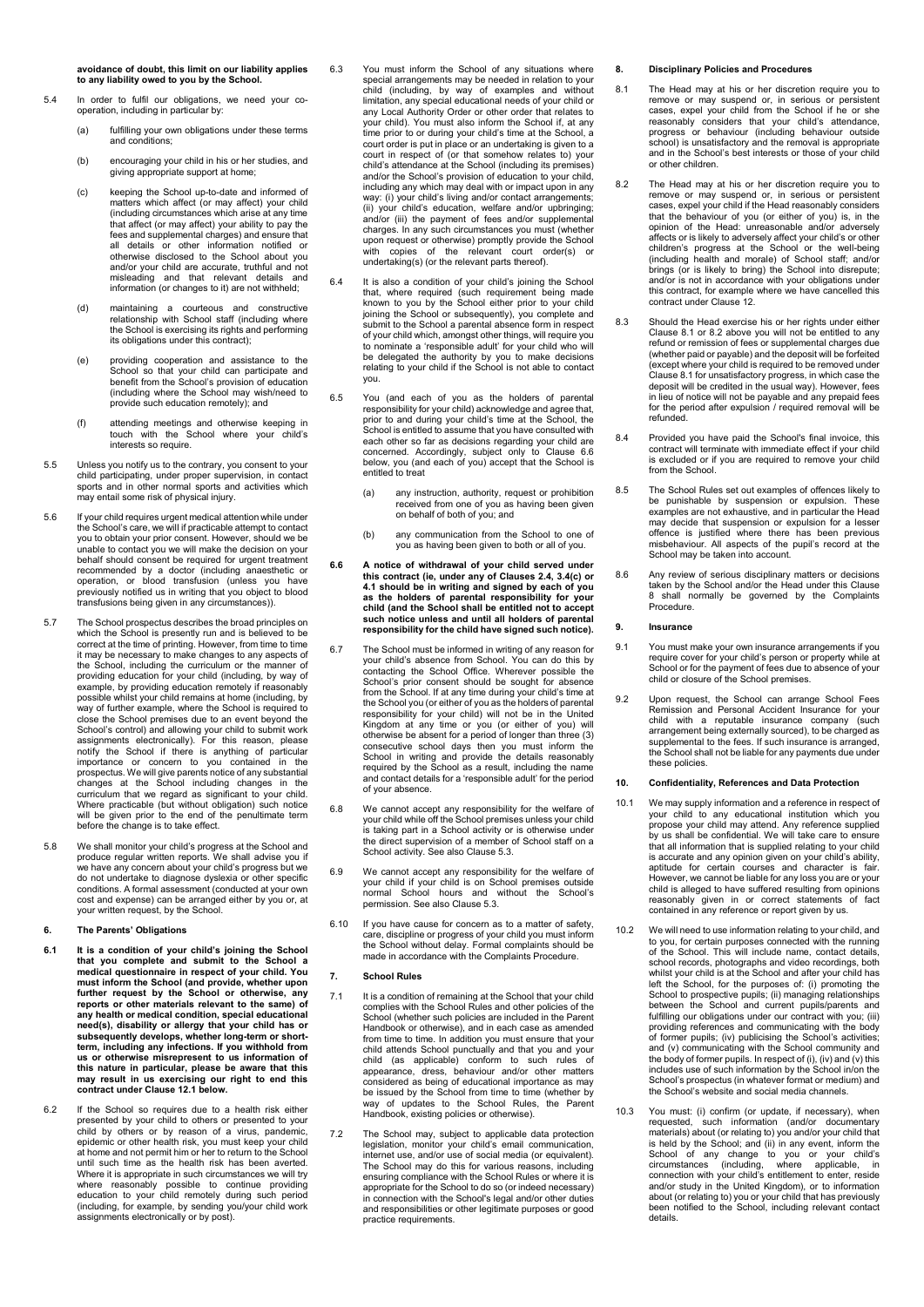**avoidance of doubt, this limit on our liability applies to any liability owed to you by the School.** 

- 5.4 In order to fulfil our obligations, we need your cooperation, including in particular by:
	- (a) fulfilling your own obligations under these terms and conditions;
	- (b) encouraging your child in his or her studies, and giving appropriate support at home;
	- (c) keeping the School up-to-date and informed of matters which affect (or may affect) your child (including circumstances which arise at any time that affect (or may affect) your ability to pay the fees and supplemental charges) and ensure that all details or other information notified or otherwise disclosed to the School about you and/or your child are accurate, truthful and not misleading and that relevant details and information (or changes to it) are not withheld;
	- (d) maintaining a courteous and constructive relationship with School staff (including where the School is exercising its rights and performing its obligations under this contract);
	- (e) providing cooperation and assistance to the School so that your child can participate and benefit from the School's provision of education (including where the School may wish/need to provide such education remotely); and
	- (f) attending meetings and otherwise keeping in touch with the School where your child's interests so require.
- 5.5 Unless you notify us to the contrary, you consent to your child participating, under proper supervision, in contact sports and in other normal sports and activities which may entail some risk of physical injury.
- 5.6 If your child requires urgent medical attention while under the School's care, we will if practicable attempt to contact you to obtain your prior consent. However, should we be unable to contact you we will make the decision on your behalf should consent be required for urgent treatment recommended by a doctor (including anaesthetic or operation, or blood transfusion (unless you have previously notified us in writing that you object to blood transfusions being given in any circumstances)).
- 5.7 The School prospectus describes the broad principles on which the School is presently run and is believed to be correct at the time of printing. However, from time to time it may be necessary to make changes to any aspects of the School, including the curriculum or the manner of<br>providing education for your child (including, by way of<br>example, by providing education remotely if reasonably<br>possible whilst your child remains at home (including, b way of further example, where the School is required to close the School premises due to an event beyond the School's control) and allowing your child to submit work<br>assignments electronically). For this reason, please<br>notify the School if there is anything of particular<br>importance or concern to you contained in the<br>prospectus. W Where practicable (but without obligation) such notice will be given prior to the end of the penultimate term before the change is to take effect.
- 5.8 We shall monitor your child's progress at the School and produce regular written reports. We shall advise you if we have any concern about your child's progress but we do not undertake to diagnose dyslexia or other specific conditions. A formal assessment (conducted at your own cost and expense) can be arranged either by you or, at your written request, by the School.

#### **6. The Parents' Obligations**

- **6.1 It is a condition of your child's joining the School that you complete and submit to the School a medical questionnaire in respect of your child. You must inform the School (and provide, whether upon further request by the School or otherwise, any reports or other materials relevant to the same) of any health or medical condition, special educational need(s), disability or allergy that your child has or subsequently develops, whether long-term or short-term, including any infections. If you withhold from us or otherwise misrepresent to us information of this nature in particular, please be aware that this may result in us exercising our right to end this contract under Clause 12.1 below.**
- 6.2 If the School so requires due to a health risk either presented by your child to others or presented to your child by others or by reason of a virus, pandemic, epidemic or other health risk, you must keep your child at home and not permit him or her to return to the School until such time as the health risk has been averted. Where it is appropriate in such circumstances we will try<br>where reasonably possible to continue providing<br>education to your child remotely during such period<br>(including, for example, by sending you/your child work<br>assignme
- 6.3 You must inform the School of any situations where special arrangements may be needed in relation to your child (including, by way of examples and without limitation, any special educational needs of your child or any Local Authority Order or other order that relates to<br>your child). You must also inform the School if, at any<br>time prior to or during your child's time at the School, a<br>court order is put in place or an undertaking is g court in respect of (or that somehow relates to) your child's attendance at the School (including its premises) and/or the School's provision of education to your child, including any which may deal with or impact upon in any way: (i) your child's living and/or contact arrangements; (ii) your child's education, welfare and/or upbringing; and/or (iii) the payment of fees and/or supplemental charges. In any such circumstances you must (whether upon request or otherwise) promptly provide the School with copies of the relevant court order(s) or undertaking(s) (or the relevant parts thereof).
- 6.4 It is also a condition of your child's joining the School that, where required (such requirement being made known to you by the School either prior to your child joining the School or subsequently), you complete and submit to the School a parental absence form in respect of your child which, amongst other things, will require you to nominate a 'responsible adult' for your child who will be delegated the authority by you to make decisions relating to your child if the School is not able to contact you.
- 6.5 You (and each of you as the holders of parental responsibility for your child) acknowledge and agree that, prior to and during your child's time at the School, the School is entitled to assume that you have consulted with each other so far as decisions regarding your child are concerned. Accordingly, subject only to Clause 6.6 below, you (and each of you) accept that the School is entitled to treat
	- (a) any instruction, authority, request or prohibition received from one of you as having been given on behalf of both of you; and
	- (b) any communication from the School to one of you as having been given to both or all of you.
- 6.6 A notice of withdrawal of your child served under<br>this contract (ie, under any of Clauses 2.4, 3.4(c) or<br>4.1 should be in writing and signed by each of you<br>as the holders of parental responsibility for your **child (and the School shall be entitled not to accept such notice unless and until all holders of parental responsibility for the child have signed such notice).**
- 6.7 The School must be informed in writing of any reason for your child's absence from School. You can do this by contacting the School Office. Wherever possible the School's prior consent should be sought for absence from the School. If at any time during your child's time at the School you (or either of you as the holders of parental responsibility for your child) will not be in the United Kingdom at any time or you (or either of you) will otherwise be absent for a period of longer than three (3) consecutive school days then you must inform the School in writing and provide the details reasonably required by the School as a result, including the name and contact details for a 'responsible adult' for the period of your absence.
- 6.8 We cannot accept any responsibility for the welfare of your child while off the School premises unless your child is taking part in a School activity or is otherwise under the direct supervision of a member of School s School activity. See also Clause 5.3.
- 6.9 We cannot accept any responsibility for the welfare of your child if your child is on School premises outside normal School hours and without the School's permission. See also Clause 5.3.
- 6.10 If you have cause for concern as to a matter of safety, care, discipline or progress of your child you must inform the School without delay. Formal complaints should be made in accordance with the Complaints Procedure.

## **7. School Rules**

- 7.1 It is a condition of remaining at the School that your child complies with the School Rules and other policies of the School (whether such policies are included in the Parent Handbook or otherwise), and in each case as amended from time to time. In addition you must ensure that your child attends School punctually and that you and your child (as applicable) conform to such rules of appearance, dress, behaviour and/or other matters considered as being of educational importance as may be issued by the School from time to time (whether by way of updates to the School Rules, the Parent Handbook, existing policies or otherwise).
- 7.2 The School may, subject to applicable data protection legislation, monitor your child's email communication, internet use, and/or use of social media (or equivalent). The School may do this for various reasons, including ensuring compliance with the School Rules or where it is appropriate for the School to do so (or indeed necessary) in connection with the School's legal and/or other duties and responsibilities or other legitimate purposes or good practice requirements.

#### **8. Disciplinary Policies and Procedures**

- 8.1 The Head may at his or her discretion require you to remove or may suspend or, in serious or persistent cases, expel your child from the School if he or she reasonably considers that your child's attendance, progress or behaviour (including behaviour outside school) is unsatisfactory and the removal is appropriate and in the School's best interests or those of your child or other children.
- 8.2 The Head may at his or her discretion require you to remove or may suspend or, in serious or persistent cases, expel your child if the Head reasonably considers that the behaviour of you (or either of you) is, in the opinion of the Head: unreasonable and/or adversely affects or is likely to adversely affect your child's or other children's progress at the School or the well-being (including health and morale) of School staff; and/or brings (or is likely to bring) the School into disrepute; and/or is not in accordance with your obligations under this contract, for example where we have cancelled this contract under Clause 12.
- 8.3 Should the Head exercise his or her rights under either Clause 8.1 or 8.2 above you will not be entitled to any refund or remission of fees or supplemental charges due (whether paid or payable) and the deposit will be forfeited (except where your child is required to be removed under Clause 8.1 for unsatisfactory progress, in which case the deposit will be credited in the usual way). However, fees in lieu of notice will not be payable and any prepaid fees for the period after expulsion / required removal will be refunded.
- 8.4 Provided you have paid the School's final invoice, this contract will terminate with immediate effect if your child is excluded or if you are required to remove your child from the School.
- 8.5 The School Rules set out examples of offences likely to be punishable by suspension or expulsion. These examples are not exhaustive, and in particular the Head may decide that suspension or expulsion for a lesser offence is justified where there has been previous misbehaviour. All aspects of the pupil's record at the School may be taken into account.
- 8.6 Any review of serious disciplinary matters or decisions taken by the School and/or the Head under this Clause 8 shall normally be governed by the Complaints Procedure.

#### **9. Insurance**

- 9.1 You must make your own insurance arrangements if you require cover for your child's person or property while at School or for the payment of fees due to absence of your child or closure of the School premises.
- 9.2 Upon request, the School can arrange School Fees Remission and Personal Accident Insurance for your child with a reputable insurance company (such arrangement being externally sourced), to be charged as supplemental to the fees. If such insurance is arranged, the School shall not be liable for any payments due under these policies.

#### **10. Confidentiality, References and Data Protection**

- 10.1 We may supply information and a reference in respect of your child to any educational institution which you propose your child may attend. Any reference supplied by us shall be confidential. We will take care to ensure that all information that is supplied relating to your child is accurate and any opinion given on your child's ability, aptitude for certain courses and character is fair. However, we cannot be liable for any loss you are or your child is alleged to have suffered resulting from opinions reasonably given in or correct statements of fact contained in any reference or report given by us.
- 10.2 We will need to use information relating to your child, and to you, for certain purposes connected with the running of the School. This will include name, contact details, school records, photographs and video recordings, both whilst your child is at the School and after your child has left the School, for the purposes of: (i) promoting the<br>School to prospective pupils; (ii) managing relationships<br>between the School and current pupils/parents and<br>fulfilling our obligations under our contract with you; (i providing references and communicating with the body of former pupils; (iv) publicising the School's activities; and (v) communicating with the School community and the body of former pupils. In respect of (i), (iv) and (v) this includes use of such information by the School in/on the School's prospectus (in whatever format or medium) and the School's website and social media channels.
- 10.3 You must: (i) confirm (or update, if necessary), when requested, such information (and/or documentary materials) about (or relating to) you and/or your child that is held by the School; and (ii) in any event, inform the School of any change to you or your child's circumstances (including, where applicable, inconnection with your child's entitlement to enter, reside and/or study in t about (or relating to) you or your child that has previously been notified to the School, including relevant contact details.